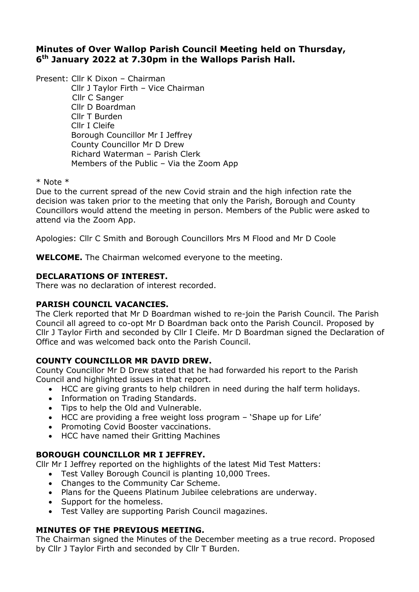# **Minutes of Over Wallop Parish Council Meeting held on Thursday, 6 th January 2022 at 7.30pm in the Wallops Parish Hall.**

Present: Cllr K Dixon – Chairman

 Cllr J Taylor Firth – Vice Chairman Cllr C Sanger Cllr D Boardman Cllr T Burden Cllr I Cleife Borough Councillor Mr I Jeffrey County Councillor Mr D Drew Richard Waterman – Parish Clerk Members of the Public – Via the Zoom App

\* Note \*

Due to the current spread of the new Covid strain and the high infection rate the decision was taken prior to the meeting that only the Parish, Borough and County Councillors would attend the meeting in person. Members of the Public were asked to attend via the Zoom App.

Apologies: Cllr C Smith and Borough Councillors Mrs M Flood and Mr D Coole

**WELCOME.** The Chairman welcomed everyone to the meeting.

## **DECLARATIONS OF INTEREST.**

There was no declaration of interest recorded.

### **PARISH COUNCIL VACANCIES.**

The Clerk reported that Mr D Boardman wished to re-join the Parish Council. The Parish Council all agreed to co-opt Mr D Boardman back onto the Parish Council. Proposed by Cllr J Taylor Firth and seconded by Cllr I Cleife. Mr D Boardman signed the Declaration of Office and was welcomed back onto the Parish Council.

### **COUNTY COUNCILLOR MR DAVID DREW.**

County Councillor Mr D Drew stated that he had forwarded his report to the Parish Council and highlighted issues in that report.

- HCC are giving grants to help children in need during the half term holidays.
	- Information on Trading Standards.
- Tips to help the Old and Vulnerable.
- HCC are providing a free weight loss program 'Shape up for Life'
- Promoting Covid Booster vaccinations.
- HCC have named their Gritting Machines

### **BOROUGH COUNCILLOR MR I JEFFREY.**

Cllr Mr I Jeffrey reported on the highlights of the latest Mid Test Matters:

- Test Valley Borough Council is planting 10,000 Trees.
- Changes to the Community Car Scheme.
- Plans for the Queens Platinum Jubilee celebrations are underway.
- Support for the homeless.
- Test Valley are supporting Parish Council magazines.

### **MINUTES OF THE PREVIOUS MEETING.**

The Chairman signed the Minutes of the December meeting as a true record. Proposed by Cllr J Taylor Firth and seconded by Cllr T Burden.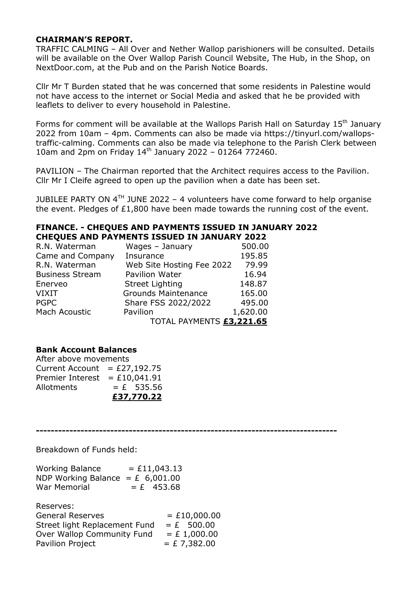#### **CHAIRMAN'S REPORT.**

TRAFFIC CALMING – All Over and Nether Wallop parishioners will be consulted. Details will be available on the Over Wallop Parish Council Website, The Hub, in the Shop, on NextDoor.com, at the Pub and on the Parish Notice Boards.

Cllr Mr T Burden stated that he was concerned that some residents in Palestine would not have access to the internet or Social Media and asked that he be provided with leaflets to deliver to every household in Palestine.

Forms for comment will be available at the Wallops Parish Hall on Saturday 15<sup>th</sup> January 2022 from 10am – 4pm. Comments can also be made via https://tinyurl.com/wallopstraffic-calming. Comments can also be made via telephone to the Parish Clerk between 10am and 2pm on Friday  $14^{th}$  January 2022 - 01264 772460.

PAVILION – The Chairman reported that the Architect requires access to the Pavilion. Cllr Mr I Cleife agreed to open up the pavilion when a date has been set.

JUBILEE PARTY ON 4<sup>TH</sup> JUNE 2022 - 4 volunteers have come forward to help organise the event. Pledges of £1,800 have been made towards the running cost of the event.

#### **FINANCE. - CHEQUES AND PAYMENTS ISSUED IN JANUARY 2022 CHEQUES AND PAYMENTS ISSUED IN JANUARY 2022**

| R.N. Waterman          | Wages $-$ January          | 500.00   |
|------------------------|----------------------------|----------|
| Came and Company       | Insurance                  | 195.85   |
| R.N. Waterman          | Web Site Hosting Fee 2022  | 79.99    |
| <b>Business Stream</b> | Pavilion Water             | 16.94    |
| Enerveo                | <b>Street Lighting</b>     | 148.87   |
| <b>VIXIT</b>           | <b>Grounds Maintenance</b> | 165.00   |
| <b>PGPC</b>            | Share FSS 2022/2022        | 495.00   |
| Mach Acoustic          | Pavilion                   | 1,620.00 |
|                        | TOTAL PAYMENTS £3,221.65   |          |

### **Bank Account Balances**

| Allotments                      | $=$ £ 535.56<br>£37,770.22 |
|---------------------------------|----------------------------|
| Premier Interest = $£10,041.91$ |                            |
| Current Account = $£27,192.75$  |                            |
| After above movements           |                            |

**---------------------------------------------------------------------------------**

Breakdown of Funds held:

| <b>Working Balance</b>             | $= £11,043.13$ |
|------------------------------------|----------------|
| NDP Working Balance = $£$ 6,001.00 |                |
| War Memorial                       | $=$ £ 453.68   |

| Reserves:                     |                |
|-------------------------------|----------------|
| <b>General Reserves</b>       | $= £10,000.00$ |
| Street light Replacement Fund | $=$ £ 500,00   |
| Over Wallop Community Fund    | $=$ £ 1,000.00 |
| Pavilion Project              | $=$ £ 7,382.00 |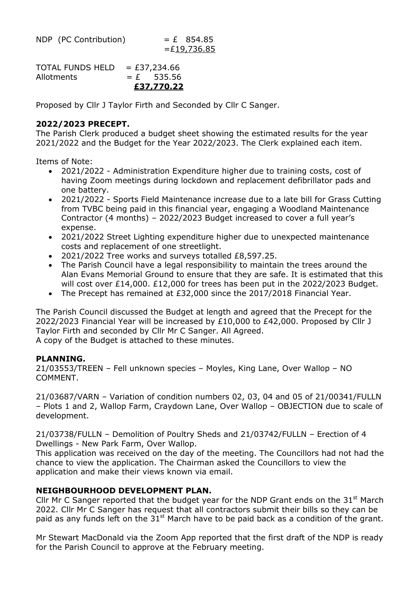NDP (PC Contribution)  $=$  £ 854.85

 $=£19,736.85$ 

|                  | £37,770.22     |
|------------------|----------------|
| Allotments       | $= 5.35.56$    |
| TOTAL FUNDS HELD | $= £37,234.66$ |

Proposed by Cllr J Taylor Firth and Seconded by Cllr C Sanger.

### **2022/2023 PRECEPT.**

The Parish Clerk produced a budget sheet showing the estimated results for the year 2021/2022 and the Budget for the Year 2022/2023. The Clerk explained each item.

Items of Note:

- 2021/2022 Administration Expenditure higher due to training costs, cost of having Zoom meetings during lockdown and replacement defibrillator pads and one battery.
- 2021/2022 Sports Field Maintenance increase due to a late bill for Grass Cutting from TVBC being paid in this financial year, engaging a Woodland Maintenance Contractor (4 months) – 2022/2023 Budget increased to cover a full year's expense.
- 2021/2022 Street Lighting expenditure higher due to unexpected maintenance costs and replacement of one streetlight.
- 2021/2022 Tree works and surveys totalled £8,597.25.
- The Parish Council have a legal responsibility to maintain the trees around the Alan Evans Memorial Ground to ensure that they are safe. It is estimated that this will cost over £14,000. £12,000 for trees has been put in the 2022/2023 Budget.
- The Precept has remained at £32,000 since the 2017/2018 Financial Year.

The Parish Council discussed the Budget at length and agreed that the Precept for the 2022/2023 Financial Year will be increased by £10,000 to £42,000. Proposed by Cllr J Taylor Firth and seconded by Cllr Mr C Sanger. All Agreed. A copy of the Budget is attached to these minutes.

### **PLANNING.**

21/03553/TREEN – Fell unknown species – Moyles, King Lane, Over Wallop – NO COMMENT.

21/03687/VARN – Variation of condition numbers 02, 03, 04 and 05 of 21/00341/FULLN – Plots 1 and 2, Wallop Farm, Craydown Lane, Over Wallop – OBJECTION due to scale of development.

21/03738/FULLN – Demolition of Poultry Sheds and 21/03742/FULLN – Erection of 4 Dwellings - New Park Farm, Over Wallop.

This application was received on the day of the meeting. The Councillors had not had the chance to view the application. The Chairman asked the Councillors to view the application and make their views known via email.

### **NEIGHBOURHOOD DEVELOPMENT PLAN.**

Cllr Mr C Sanger reported that the budget year for the NDP Grant ends on the  $31<sup>st</sup>$  March 2022. Cllr Mr C Sanger has request that all contractors submit their bills so they can be paid as any funds left on the  $31<sup>st</sup>$  March have to be paid back as a condition of the grant.

Mr Stewart MacDonald via the Zoom App reported that the first draft of the NDP is ready for the Parish Council to approve at the February meeting.